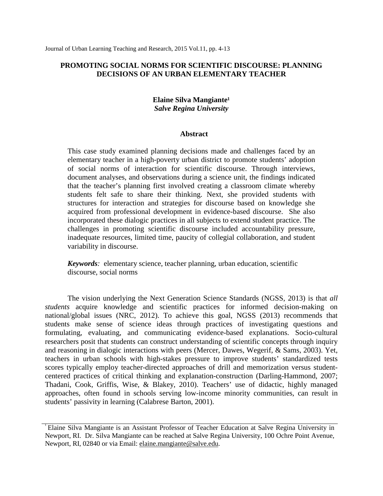# **PROMOTING SOCIAL NORMS FOR SCIENTIFIC DISCOURSE: PLANNING DECISIONS OF AN URBAN ELEMENTARY TEACHER**

# **Elaine Silva Mangiante<sup>1</sup>** *Salve Regina University*

## **Abstract**

This case study examined planning decisions made and challenges faced by an elementary teacher in a high-poverty urban district to promote students' adoption of social norms of interaction for scientific discourse. Through interviews, document analyses, and observations during a science unit, the findings indicated that the teacher's planning first involved creating a classroom climate whereby students felt safe to share their thinking. Next, she provided students with structures for interaction and strategies for discourse based on knowledge she acquired from professional development in evidence-based discourse. She also incorporated these dialogic practices in all subjects to extend student practice. The challenges in promoting scientific discourse included accountability pressure, inadequate resources, limited time, paucity of collegial collaboration, and student variability in discourse.

*Keywords:* elementary science, teacher planning, urban education, scientific discourse, social norms

The vision underlying the Next Generation Science Standards (NGSS, 2013) is that *all students* acquire knowledge and scientific practices for informed decision-making on national/global issues (NRC, 2012). To achieve this goal, NGSS (2013) recommends that students make sense of science ideas through practices of investigating questions and formulating, evaluating, and communicating evidence-based explanations. Socio-cultural researchers posit that students can construct understanding of scientific concepts through inquiry and reasoning in dialogic interactions with peers (Mercer, Dawes, Wegerif, & Sams, 2003). Yet, teachers in urban schools with high-stakes pressure to improve students' standardized tests scores typically employ teacher-directed approaches of drill and memorization versus studentcentered practices of critical thinking and explanation-construction (Darling-Hammond, 2007; Thadani, Cook, Griffis, Wise, & Blakey, 2010). Teachers' use of didactic, highly managed approaches, often found in schools serving low-income minority communities, can result in students' passivity in learning (Calabrese Barton, 2001).

Elaine Silva Mangiante is an Assistant Professor of Teacher Education at Salve Regina University in Newport, RI. Dr. Silva Mangiante can be reached at Salve Regina University, 100 Ochre Point Avenue, Newport, RI, 02840 or via Email: [elaine.mangiante@salve.edu.](mailto:elaine.mangiante@salve.edu)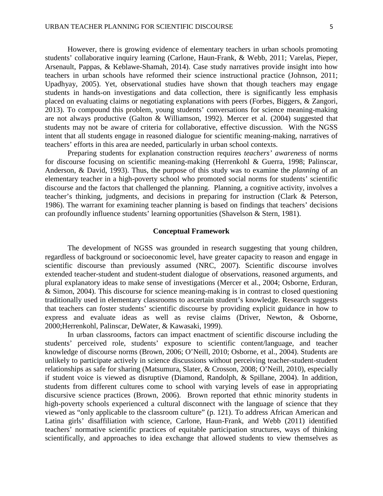However, there is growing evidence of elementary teachers in urban schools promoting students' collaborative inquiry learning (Carlone, Haun-Frank, & Webb, 2011; Varelas, Pieper, Arsenault, Pappas, & Keblawe-Shamah, 2014). Case study narratives provide insight into how teachers in urban schools have reformed their science instructional practice (Johnson, 2011; Upadhyay, 2005). Yet, observational studies have shown that though teachers may engage students in hands-on investigations and data collection, there is significantly less emphasis placed on evaluating claims or negotiating explanations with peers (Forbes, Biggers, & Zangori, 2013). To compound this problem, young students' conversations for science meaning-making are not always productive (Galton & Williamson, 1992). Mercer et al. (2004) suggested that students may not be aware of criteria for collaborative, effective discussion. With the NGSS intent that all students engage in reasoned dialogue for scientific meaning-making, narratives of teachers' efforts in this area are needed, particularly in urban school contexts.

Preparing students for explanation construction requires *teachers' awareness* of norms for discourse focusing on scientific meaning-making (Herrenkohl & Guerra, 1998; Palinscar, Anderson, & David, 1993). Thus, the purpose of this study was to examine the *planning* of an elementary teacher in a high-poverty school who promoted social norms for students' scientific discourse and the factors that challenged the planning. Planning, a cognitive activity, involves a teacher's thinking, judgments, and decisions in preparing for instruction (Clark & Peterson, 1986). The warrant for examining teacher planning is based on findings that teachers' decisions can profoundly influence students' learning opportunities (Shavelson & Stern, 1981).

### **Conceptual Framework**

The development of NGSS was grounded in research suggesting that young children, regardless of background or socioeconomic level, have greater capacity to reason and engage in scientific discourse than previously assumed (NRC, 2007). Scientific discourse involves extended teacher-student and student-student dialogue of observations, reasoned arguments, and plural explanatory ideas to make sense of investigations (Mercer et al., 2004; Osborne, Erduran, & Simon, 2004). This discourse for science meaning-making is in contrast to closed questioning traditionally used in elementary classrooms to ascertain student's knowledge. Research suggests that teachers can foster students' scientific discourse by providing explicit guidance in how to express and evaluate ideas as well as revise claims (Driver, Newton, & Osborne, 2000;Herrenkohl, Palinscar, DeWater, & Kawasaki, 1999).

In urban classrooms, factors can impact enactment of scientific discourse including the students' perceived role, students' exposure to scientific content/language, and teacher knowledge of discourse norms (Brown, 2006; O'Neill, 2010; Osborne, et al., 2004). Students are unlikely to participate actively in science discussions without perceiving teacher-student-student relationships as safe for sharing (Matsumura, Slater, & Crosson, 2008; O'Neill, 2010), especially if student voice is viewed as disruptive (Diamond, Randolph, & Spillane, 2004). In addition, students from different cultures come to school with varying levels of ease in appropriating discursive science practices (Brown, 2006). Brown reported that ethnic minority students in high-poverty schools experienced a cultural disconnect with the language of science that they viewed as "only applicable to the classroom culture" (p. 121). To address African American and Latina girls' disaffiliation with science, Carlone, Haun-Frank, and Webb (2011) identified teachers' normative scientific practices of equitable participation structures, ways of thinking scientifically, and approaches to idea exchange that allowed students to view themselves as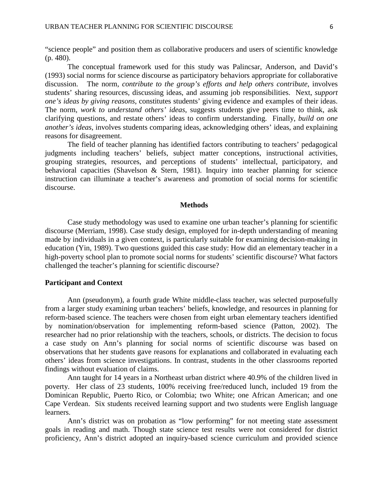"science people" and position them as collaborative producers and users of scientific knowledge (p. 480).

The conceptual framework used for this study was Palincsar, Anderson, and David's (1993) social norms for science discourse as participatory behaviors appropriate for collaborative discussion. The norm*, contribute to the group's efforts and help others contribute*, involves students' sharing resources, discussing ideas, and assuming job responsibilities. Next, *support one's ideas by giving reasons*, constitutes students' giving evidence and examples of their ideas. The norm, *work to understand others' ideas*, suggests students give peers time to think, ask clarifying questions, and restate others' ideas to confirm understanding. Finally, *build on one another's ideas*, involves students comparing ideas, acknowledging others' ideas, and explaining reasons for disagreement.

The field of teacher planning has identified factors contributing to teachers' pedagogical judgments including teachers' beliefs, subject matter conceptions, instructional activities, grouping strategies, resources, and perceptions of students' intellectual, participatory, and behavioral capacities (Shavelson & Stern, 1981). Inquiry into teacher planning for science instruction can illuminate a teacher's awareness and promotion of social norms for scientific discourse.

#### **Methods**

Case study methodology was used to examine one urban teacher's planning for scientific discourse (Merriam, 1998). Case study design, employed for in-depth understanding of meaning made by individuals in a given context, is particularly suitable for examining decision-making in education (Yin, 1989). Two questions guided this case study: How did an elementary teacher in a high-poverty school plan to promote social norms for students' scientific discourse? What factors challenged the teacher's planning for scientific discourse?

## **Participant and Context**

Ann (pseudonym), a fourth grade White middle-class teacher, was selected purposefully from a larger study examining urban teachers' beliefs, knowledge, and resources in planning for reform-based science. The teachers were chosen from eight urban elementary teachers identified by nomination/observation for implementing reform-based science (Patton, 2002). The researcher had no prior relationship with the teachers, schools, or districts. The decision to focus a case study on Ann's planning for social norms of scientific discourse was based on observations that her students gave reasons for explanations and collaborated in evaluating each others' ideas from science investigations. In contrast, students in the other classrooms reported findings without evaluation of claims.

Ann taught for 14 years in a Northeast urban district where 40.9% of the children lived in poverty. Her class of 23 students, 100% receiving free/reduced lunch, included 19 from the Dominican Republic, Puerto Rico, or Colombia; two White; one African American; and one Cape Verdean. Six students received learning support and two students were English language learners.

Ann's district was on probation as "low performing" for not meeting state assessment goals in reading and math. Though state science test results were not considered for district proficiency, Ann's district adopted an inquiry-based science curriculum and provided science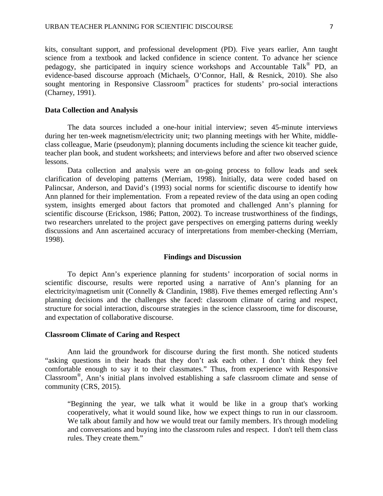kits, consultant support, and professional development (PD). Five years earlier, Ann taught science from a textbook and lacked confidence in science content. To advance her science pedagogy, she participated in inquiry science workshops and Accountable Talk® PD, an evidence-based discourse approach (Michaels, O'Connor, Hall, & Resnick, 2010). She also sought mentoring in Responsive Classroom® practices for students' pro-social interactions (Charney, 1991).

### **Data Collection and Analysis**

The data sources included a one-hour initial interview; seven 45-minute interviews during her ten-week magnetism/electricity unit; two planning meetings with her White, middleclass colleague, Marie (pseudonym); planning documents including the science kit teacher guide, teacher plan book, and student worksheets; and interviews before and after two observed science lessons.

Data collection and analysis were an on-going process to follow leads and seek clarification of developing patterns (Merriam, 1998). Initially, data were coded based on Palincsar, Anderson, and David's (1993) social norms for scientific discourse to identify how Ann planned for their implementation. From a repeated review of the data using an open coding system, insights emerged about factors that promoted and challenged Ann's planning for scientific discourse (Erickson, 1986; Patton, 2002). To increase trustworthiness of the findings, two researchers unrelated to the project gave perspectives on emerging patterns during weekly discussions and Ann ascertained accuracy of interpretations from member-checking (Merriam, 1998).

#### **Findings and Discussion**

To depict Ann's experience planning for students' incorporation of social norms in scientific discourse, results were reported using a narrative of Ann's planning for an electricity/magnetism unit (Connelly & Clandinin, 1988). Five themes emerged reflecting Ann's planning decisions and the challenges she faced: classroom climate of caring and respect, structure for social interaction, discourse strategies in the science classroom, time for discourse, and expectation of collaborative discourse.

## **Classroom Climate of Caring and Respect**

Ann laid the groundwork for discourse during the first month. She noticed students "asking questions in their heads that they don't ask each other. I don't think they feel comfortable enough to say it to their classmates." Thus, from experience with Responsive Classroom®, Ann's initial plans involved establishing a safe classroom climate and sense of community (CRS, 2015).

"Beginning the year, we talk what it would be like in a group that's working cooperatively, what it would sound like, how we expect things to run in our classroom. We talk about family and how we would treat our family members. It's through modeling and conversations and buying into the classroom rules and respect. I don't tell them class rules. They create them."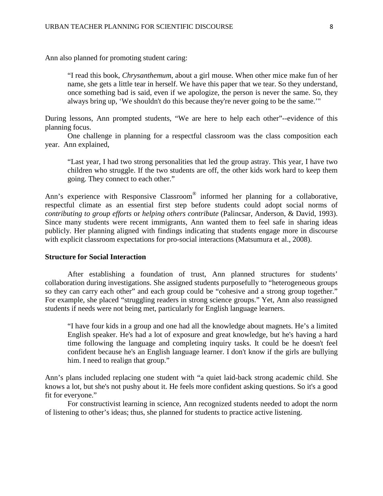Ann also planned for promoting student caring:

"I read this book, *Chrysanthemum*, about a girl mouse. When other mice make fun of her name, she gets a little tear in herself. We have this paper that we tear. So they understand, once something bad is said, even if we apologize, the person is never the same. So, they always bring up, 'We shouldn't do this because they're never going to be the same.'"

During lessons, Ann prompted students, "We are here to help each other"--evidence of this planning focus.

One challenge in planning for a respectful classroom was the class composition each year. Ann explained,

"Last year, I had two strong personalities that led the group astray. This year, I have two children who struggle. If the two students are off, the other kids work hard to keep them going. They connect to each other."

Ann's experience with Responsive Classroom® informed her planning for a collaborative, respectful climate as an essential first step before students could adopt social norms of *contributing to group efforts* or *helping others contribute* (Palincsar, Anderson, & David, 1993). Since many students were recent immigrants, Ann wanted them to feel safe in sharing ideas publicly. Her planning aligned with findings indicating that students engage more in discourse with explicit classroom expectations for pro-social interactions (Matsumura et al., 2008).

### **Structure for Social Interaction**

After establishing a foundation of trust, Ann planned structures for students' collaboration during investigations. She assigned students purposefully to "heterogeneous groups so they can carry each other" and each group could be "cohesive and a strong group together." For example, she placed "struggling readers in strong science groups." Yet, Ann also reassigned students if needs were not being met, particularly for English language learners.

"I have four kids in a group and one had all the knowledge about magnets. He's a limited English speaker. He's had a lot of exposure and great knowledge, but he's having a hard time following the language and completing inquiry tasks. It could be he doesn't feel confident because he's an English language learner. I don't know if the girls are bullying him. I need to realign that group."

Ann's plans included replacing one student with "a quiet laid-back strong academic child. She knows a lot, but she's not pushy about it. He feels more confident asking questions. So it's a good fit for everyone."

For constructivist learning in science, Ann recognized students needed to adopt the norm of listening to other's ideas; thus, she planned for students to practice active listening.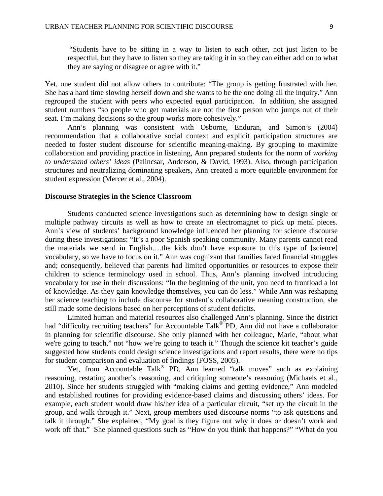"Students have to be sitting in a way to listen to each other, not just listen to be respectful, but they have to listen so they are taking it in so they can either add on to what they are saying or disagree or agree with it."

Yet, one student did not allow others to contribute: "The group is getting frustrated with her. She has a hard time slowing herself down and she wants to be the one doing all the inquiry." Ann regrouped the student with peers who expected equal participation. In addition, she assigned student numbers "so people who get materials are not the first person who jumps out of their seat. I'm making decisions so the group works more cohesively."

Ann's planning was consistent with Osborne, Enduran, and Simon's (2004) recommendation that a collaborative social context and explicit participation structures are needed to foster student discourse for scientific meaning-making. By grouping to maximize collaboration and providing practice in listening, Ann prepared students for the norm of *working to understand others' ideas* (Palincsar, Anderson, & David, 1993). Also, through participation structures and neutralizing dominating speakers, Ann created a more equitable environment for student expression (Mercer et al., 2004).

### **Discourse Strategies in the Science Classroom**

Students conducted science investigations such as determining how to design single or multiple pathway circuits as well as how to create an electromagnet to pick up metal pieces. Ann's view of students' background knowledge influenced her planning for science discourse during these investigations: "It's a poor Spanish speaking community. Many parents cannot read the materials we send in English….the kids don't have exposure to this type of [science] vocabulary, so we have to focus on it." Ann was cognizant that families faced financial struggles and; consequently, believed that parents had limited opportunities or resources to expose their children to science terminology used in school. Thus, Ann's planning involved introducing vocabulary for use in their discussions: "In the beginning of the unit, you need to frontload a lot of knowledge. As they gain knowledge themselves, you can do less." While Ann was reshaping her science teaching to include discourse for student's collaborative meaning construction, she still made some decisions based on her perceptions of student deficits.

Limited human and material resources also challenged Ann's planning. Since the district had "difficulty recruiting teachers" for Accountable Talk<sup>®</sup> PD, Ann did not have a collaborator in planning for scientific discourse. She only planned with her colleague, Marie, "about what we're going to teach," not "how we're going to teach it." Though the science kit teacher's guide suggested how students could design science investigations and report results, there were no tips for student comparison and evaluation of findings (FOSS, 2005).

Yet, from Accountable Talk<sup>®</sup> PD, Ann learned "talk moves" such as explaining reasoning, restating another's reasoning, and critiquing someone's reasoning (Michaels et al., 2010). Since her students struggled with "making claims and getting evidence," Ann modeled and established routines for providing evidence-based claims and discussing others' ideas. For example, each student would draw his/her idea of a particular circuit, "set up the circuit in the group, and walk through it." Next, group members used discourse norms "to ask questions and talk it through." She explained, "My goal is they figure out why it does or doesn't work and work off that." She planned questions such as "How do you think that happens?" "What do you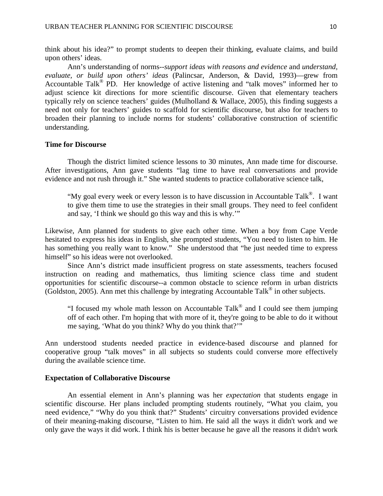think about his idea?" to prompt students to deepen their thinking, evaluate claims, and build upon others' ideas.

Ann's understanding of norms--*support ideas with reasons and evidence* and *understand, evaluate, or build upon others' ideas* (Palincsar, Anderson, & David, 1993)—grew from Accountable Talk<sup>®</sup> PD. Her knowledge of active listening and "talk moves" informed her to adjust science kit directions for more scientific discourse. Given that elementary teachers typically rely on science teachers' guides (Mulholland & Wallace, 2005), this finding suggests a need not only for teachers' guides to scaffold for scientific discourse, but also for teachers to broaden their planning to include norms for students' collaborative construction of scientific understanding.

# **Time for Discourse**

Though the district limited science lessons to 30 minutes, Ann made time for discourse. After investigations, Ann gave students "lag time to have real conversations and provide evidence and not rush through it." She wanted students to practice collaborative science talk,

"My goal every week or every lesson is to have discussion in Accountable Talk®. I want to give them time to use the strategies in their small groups. They need to feel confident and say, 'I think we should go this way and this is why.'"

Likewise, Ann planned for students to give each other time. When a boy from Cape Verde hesitated to express his ideas in English, she prompted students, "You need to listen to him. He has something you really want to know." She understood that "he just needed time to express himself" so his ideas were not overlooked.

Since Ann's district made insufficient progress on state assessments, teachers focused instruction on reading and mathematics, thus limiting science class time and student opportunities for scientific discourse--a common obstacle to science reform in urban districts (Goldston, 2005). Ann met this challenge by integrating Accountable Talk® in other subjects.

"I focused my whole math lesson on Accountable Tal $k^{\circledR}$  and I could see them jumping off of each other. I'm hoping that with more of it, they're going to be able to do it without me saying, 'What do you think? Why do you think that?'"

Ann understood students needed practice in evidence-based discourse and planned for cooperative group "talk moves" in all subjects so students could converse more effectively during the available science time.

## **Expectation of Collaborative Discourse**

An essential element in Ann's planning was her *expectation* that students engage in scientific discourse. Her plans included prompting students routinely, "What you claim, you need evidence," "Why do you think that?" Students' circuitry conversations provided evidence of their meaning-making discourse, "Listen to him. He said all the ways it didn't work and we only gave the ways it did work. I think his is better because he gave all the reasons it didn't work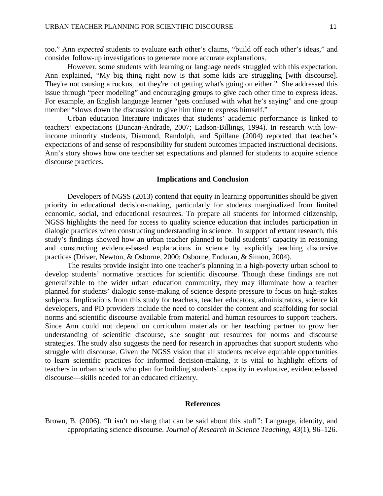too." Ann *expected* students to evaluate each other's claims, "build off each other's ideas," and consider follow-up investigations to generate more accurate explanations.

However, some students with learning or language needs struggled with this expectation. Ann explained, "My big thing right now is that some kids are struggling [with discourse]. They're not causing a ruckus, but they're not getting what's going on either." She addressed this issue through "peer modeling" and encouraging groups to give each other time to express ideas. For example, an English language learner "gets confused with what he's saying" and one group member "slows down the discussion to give him time to express himself."

Urban education literature indicates that students' academic performance is linked to teachers' expectations (Duncan-Andrade, 2007; Ladson-Billings, 1994). In research with lowincome minority students, Diamond, Randolph, and Spillane (2004) reported that teacher's expectations of and sense of responsibility for student outcomes impacted instructional decisions. Ann's story shows how one teacher set expectations and planned for students to acquire science discourse practices.

### **Implications and Conclusion**

Developers of NGSS (2013) contend that equity in learning opportunities should be given priority in educational decision-making, particularly for students marginalized from limited economic, social, and educational resources. To prepare all students for informed citizenship, NGSS highlights the need for access to quality science education that includes participation in dialogic practices when constructing understanding in science. In support of extant research, this study's findings showed how an urban teacher planned to build students' capacity in reasoning and constructing evidence-based explanations in science by explicitly teaching discursive practices (Driver, Newton, & Osborne, 2000; Osborne, Enduran, & Simon, 2004).

The results provide insight into one teacher's planning in a high-poverty urban school to develop students' normative practices for scientific discourse. Though these findings are not generalizable to the wider urban education community, they may illuminate how a teacher planned for students' dialogic sense-making of science despite pressure to focus on high-stakes subjects. Implications from this study for teachers, teacher educators, administrators, science kit developers, and PD providers include the need to consider the content and scaffolding for social norms and scientific discourse available from material and human resources to support teachers. Since Ann could not depend on curriculum materials or her teaching partner to grow her understanding of scientific discourse, she sought out resources for norms and discourse strategies. The study also suggests the need for research in approaches that support students who struggle with discourse. Given the NGSS vision that all students receive equitable opportunities to learn scientific practices for informed decision-making, it is vital to highlight efforts of teachers in urban schools who plan for building students' capacity in evaluative, evidence-based discourse—skills needed for an educated citizenry.

#### **References**

Brown, B. (2006). "It isn't no slang that can be said about this stuff": Language, identity, and appropriating science discourse. *Journal of Research in Science Teaching*, *43*(1), 96–126.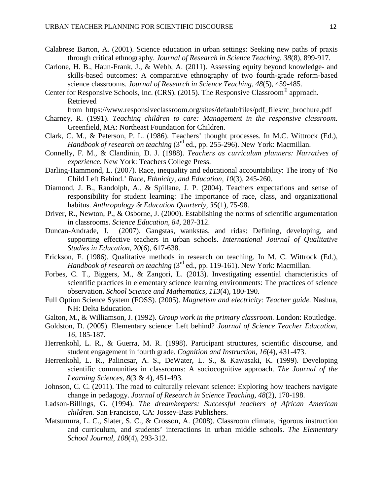- Calabrese Barton, A. (2001). Science education in urban settings: Seeking new paths of praxis through critical ethnography. *Journal of Research in Science Teaching, 38*(8), 899-917.
- Carlone, H. B., Haun-Frank, J., & Webb, A. (2011). Assessing equity beyond knowledge- and skills-based outcomes: A comparative ethnography of two fourth-grade reform-based science classrooms. *Journal of Research in Science Teaching, 48*(5), 459-485.
- Center for Responsive Schools, Inc. (CRS). (2015). The Responsive Classroom® approach. Retrieved

from [https://www.responsiveclassroom.org/sites/default/files/pdf\\_files/rc\\_brochure.pdf](https://www.responsiveclassroom.org/sites/default/files/pdf_files/rc_brochure.pdf)

- Charney, R. (1991). *Teaching children to care: Management in the responsive classroom.* Greenfield, MA: Northeast Foundation for Children.
- Clark, C. M., & Peterson, P. L. (1986). Teachers' thought processes. In M.C. Wittrock (Ed.), *Handbook of research on teaching* (3<sup>rd</sup> ed., pp. 255-296). New York: Macmillan.
- Connelly, F. M., & Clandinin, D. J. (1988). *Teachers as curriculum planners: Narratives of experience.* New York: Teachers College Press.
- Darling-Hammond, L. (2007). Race, inequality and educational accountability: The irony of 'No Child Left Behind.' *Race, Ethnicity, and Education, 10*(3), 245-260.
- Diamond, J. B., Randolph, A., & Spillane, J. P. (2004). Teachers expectations and sense of responsibility for student learning: The importance of race, class, and organizational habitus. *Anthropology & Education Quarterly, 35*(1), 75-98.
- Driver, R., Newton, P., & Osborne, J. (2000). Establishing the norms of scientific argumentation in classrooms. *Science Education, 84,* 287-312.
- Duncan-Andrade, J. (2007). Gangstas, wankstas, and ridas: Defining, developing, and supporting effective teachers in urban schools. *International Journal of Qualitative Studies in Education, 20*(6), 617-638.
- Erickson, F. (1986). Qualitative methods in research on teaching. In M. C. Wittrock (Ed.), *Handbook of research on teaching* (3<sup>rd</sup> ed., pp. 119-161). New York: Macmillan.
- Forbes, C. T., Biggers, M., & Zangori, L. (2013). Investigating essential characteristics of scientific practices in elementary science learning environments: The practices of science observation. *School Science and Mathematics, 113*(4), 180-190.
- Full Option Science System (FOSS). (2005). *Magnetism and electricity: Teacher guide.* Nashua, NH: Delta Education.
- Galton, M., & Williamson, J. (1992). *Group work in the primary classroom.* London: Routledge.
- Goldston, D. (2005). Elementary science: Left behind? *Journal of Science Teacher Education, 16*, 185-187.
- Herrenkohl, L. R., & Guerra, M. R. (1998). Participant structures, scientific discourse, and student engagement in fourth grade. *Cognition and Instruction, 16*(4), 431-473.
- Herrenkohl, L. R., Palincsar, A. S., DeWater, L. S., & Kawasaki, K. (1999). Developing scientific communities in classrooms: A sociocognitive approach. *The Journal of the Learning Sciences, 8*(3 & 4), 451-493.
- Johnson, C. C. (2011). The road to culturally relevant science: Exploring how teachers navigate change in pedagogy. *Journal of Research in Science Teaching, 48*(2), 170-198.
- Ladson-Billings, G. (1994). *The dreamkeepers: Successful teachers of African American children.* San Francisco, CA: Jossey-Bass Publishers.
- Matsumura, L. C., Slater, S. C., & Crosson, A. (2008). Classroom climate, rigorous instruction and curriculum, and students' interactions in urban middle schools. *The Elementary School Journal, 108*(4), 293-312.